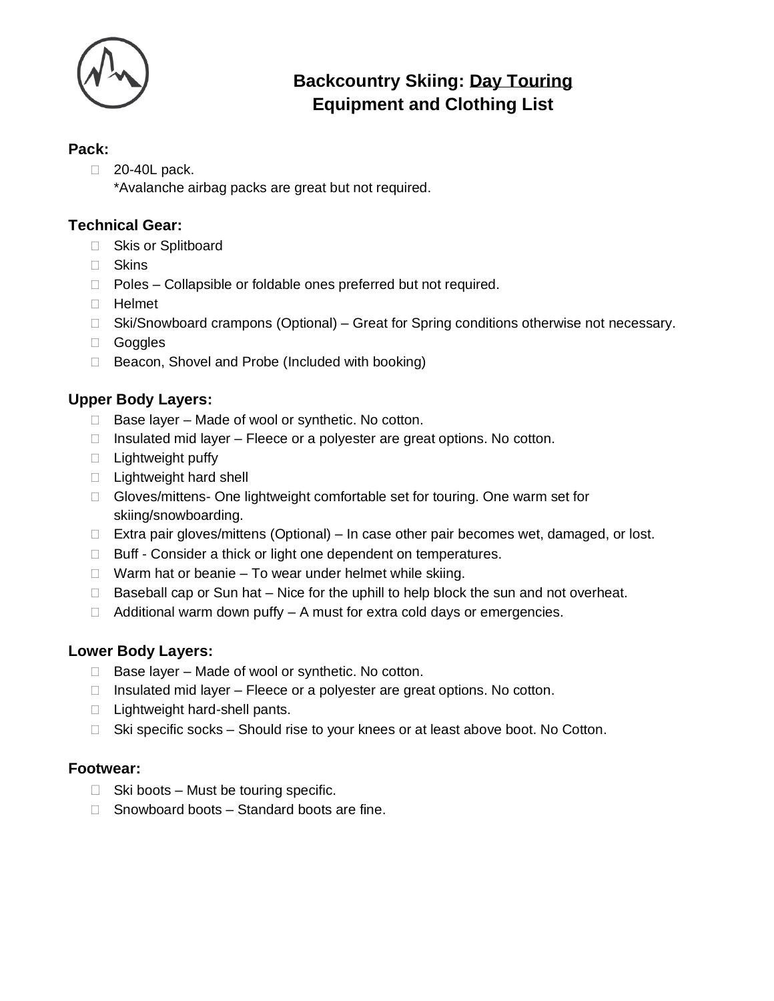

# **Backcountry Skiing: Day Touring Equipment and Clothing List**

#### **Pack:**

20-40L pack.

\*Avalanche airbag packs are great but not required.

# **Technical Gear:**

- □ Skis or Splitboard
- Skins
- □ Poles Collapsible or foldable ones preferred but not required.
- $\Box$  Helmet
- □ Ski/Snowboard crampons (Optional) Great for Spring conditions otherwise not necessary.
- Goggles
- □ Beacon, Shovel and Probe (Included with booking)

# **Upper Body Layers:**

- $\Box$  Base layer Made of wool or synthetic. No cotton.
- $\Box$  Insulated mid layer Fleece or a polyester are great options. No cotton.
- $\Box$  Lightweight puffy
- □ Lightweight hard shell
- □ Gloves/mittens- One lightweight comfortable set for touring. One warm set for skiing/snowboarding.
- $\Box$  Extra pair gloves/mittens (Optional) In case other pair becomes wet, damaged, or lost.
- $\Box$  Buff Consider a thick or light one dependent on temperatures.
- $\Box$  Warm hat or beanie To wear under helmet while skiing.
- $\Box$  Baseball cap or Sun hat Nice for the uphill to help block the sun and not overheat.
- $\Box$  Additional warm down puffy  $-$  A must for extra cold days or emergencies.

## **Lower Body Layers:**

- $\Box$  Base layer Made of wool or synthetic. No cotton.
- $\Box$  Insulated mid layer Fleece or a polyester are great options. No cotton.
- $\Box$  Lightweight hard-shell pants.
- $\Box$  Ski specific socks Should rise to your knees or at least above boot. No Cotton.

## **Footwear:**

- $\Box$  Ski boots Must be touring specific.
- $\Box$  Snowboard boots Standard boots are fine.